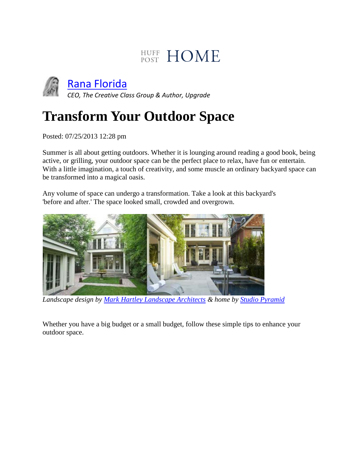# HUFF HOME



[Rana Florida](http://www.huffingtonpost.com/rana-florida)

*CEO, The Creative Class Group & Author, Upgrade*

# **Transform Your Outdoor Space**

Posted: 07/25/2013 12:28 pm

Summer is all about getting outdoors. Whether it is lounging around reading a good book, being active, or grilling, your outdoor space can be the perfect place to relax, have fun or entertain. With a little imagination, a touch of creativity, and some muscle an ordinary backyard space can be transformed into a magical oasis.

Any volume of space can undergo a transformation. Take a look at this backyard's 'before and after.' The space looked small, crowded and overgrown.



*Landscape design by [Mark Hartley Landscape Architects](http://www.google.com/url?sa=t&rct=j&q=&esrc=s&source=web&cd=1&ved=0CCsQFjAA&url=http%3A%2F%2Fwww.markhartley.ca%2F&ei=6hjxUcGwFpSI9QT0joC4Bw&usg=AFQjCNEENiukRI-NT5QKP3PfsU2qWvUtAg&bvm=bv.49784469,d.eWU) & home by [Studio Pyramid](http://www.google.com/url?sa=t&rct=j&q=&esrc=s&source=web&cd=1&ved=0CCsQFjAA&url=http%3A%2F%2Fwww.studiopyramid.com%2F&ei=_RjxUabwLYja8ATA8oHwAQ&usg=AFQjCNHzcaz63q8QJvHoKbtfNW6PaqnWzw&bvm=bv.49784469,d.eWU)*

Whether you have a big budget or a small budget, follow these simple tips to enhance your outdoor space.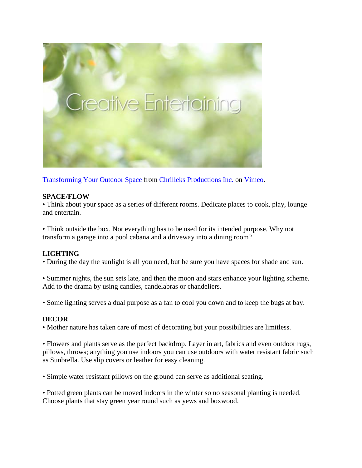

[Transforming Your Outdoor Space](http://vimeo.com/71016748) from [Chrilleks Productions Inc.](http://vimeo.com/chrilleks) on [Vimeo.](https://vimeo.com/)

#### **SPACE/FLOW**

• Think about your space as a series of different rooms. Dedicate places to cook, play, lounge and entertain.

• Think outside the box. Not everything has to be used for its intended purpose. Why not transform a garage into a pool cabana and a driveway into a dining room?

### **LIGHTING**

• During the day the sunlight is all you need, but be sure you have spaces for shade and sun.

• Summer nights, the sun sets late, and then the moon and stars enhance your lighting scheme. Add to the drama by using candles, candelabras or chandeliers.

• Some lighting serves a dual purpose as a fan to cool you down and to keep the bugs at bay.

#### **DECOR**

• Mother nature has taken care of most of decorating but your possibilities are limitless.

• Flowers and plants serve as the perfect backdrop. Layer in art, fabrics and even outdoor rugs, pillows, throws; anything you use indoors you can use outdoors with water resistant fabric such as Sunbrella. Use slip covers or leather for easy cleaning.

• Simple water resistant pillows on the ground can serve as additional seating.

• Potted green plants can be moved indoors in the winter so no seasonal planting is needed. Choose plants that stay green year round such as yews and boxwood.